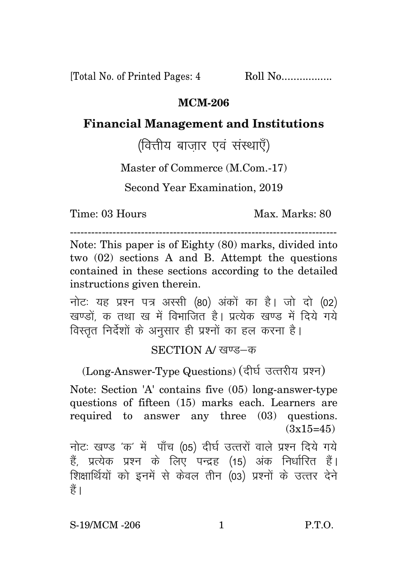[Total No. of Printed Pages: 4 Roll No.................

## **MCM-206**

## **Financial Management and Institutions**

(वित्तीय बाजार एवं संस्थाएँ)

Master of Commerce (M.Com.-17)

Second Year Examination, 2019

Time: 03 Hours

Max. Marks: 80

Note: This paper is of Eighty (80) marks, divided into two  $(02)$  sections A and B. Attempt the questions contained in these sections according to the detailed instructions given therein.

नोटः यह प्रश्न पत्र अस्सी (80) अंकों का है। जो दो (02) खण्डों क तथा ख में विभाजित है। प्रत्येक खण्ड में दिये गये विस्तृत निर्देशों के अनुसार ही प्रश्नों का हल करना है।

## SECTION A/ खण्ड-क

(Long-Answer-Type Questions) (दीर्घ उत्तरीय प्रश्न)

Note: Section 'A' contains five (05) long-answer-type questions of fifteen (15) marks each. Learners are required to answer any three (03) questions.  $(3x15=45)$ 

नोटः खण्ड 'क' में पाँच (05) दीर्घ उत्तरों वाले प्रश्न दिये गये हैं, प्रत्येक प्रश्न के लिए पन्द्रह (15) अंक निर्धारित हैं। शिक्षार्थियों को इनमें से केवल तीन (03) प्रश्नों के उत्तर देने हैं ।

 $P.T.O.$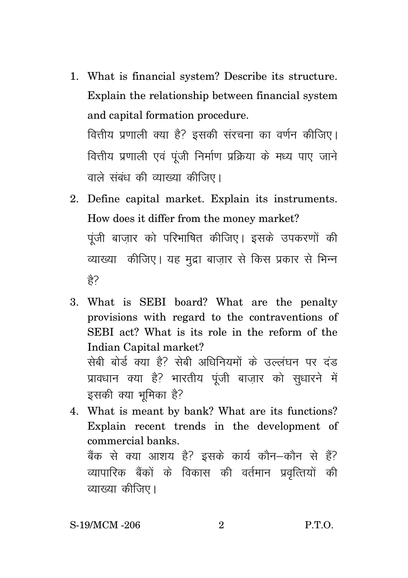1. What is financial system? Describe its structure. Explain the relationship between financial system and capital formation procedure.

वित्तीय प्रणाली क्या है? इसकी संरचना का वर्णन कीजिए। वित्तीय प्रणाली एवं पंजी निर्माण प्रक्रिया के मध्य पाए जाने वाले संबंध की व्याख्या कीजिए।

- 2. Define capital market. Explain its instruments. How does it differ from the money market? पंजी बाजार को परिभाषित कीजिए। इसके उपकरणों की व्याख्या) कीजिए। यह मुद्रा बाजार से किस प्रकार से भिन्न  $\frac{\Delta}{\Delta}$
- 3. What is SEBI board? What are the penalty provisions with regard to the contraventions of SEBI act? What is its role in the reform of the Indian Capital market? सेबी बोर्ड क्या है? सेबी अधिनियमों के उल्लंघन पर दंड प्रावधान क्या है? भारतीय पूंजी बाज़ार को सुधारने में इसकी क्या भूमिका है?
- 4. What is meant by bank? What are its functions? Explain recent trends in the development of commercial banks.

बैंक से क्या आशय है? इसके कार्य कौन–कौन से हैं? व्यापारिक बैंकों के विकास की वर्तमान प्रवृत्तियों की व्याख्या कीजिए।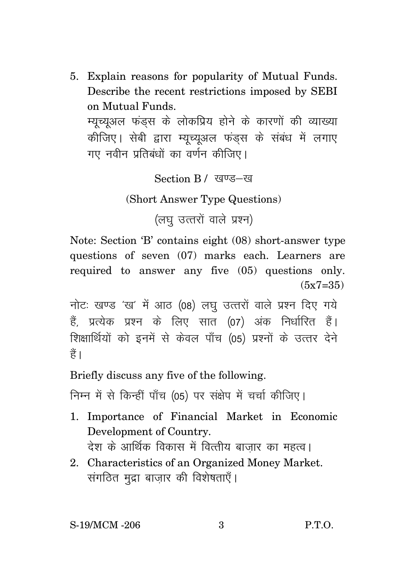5. Explain reasons for popularity of Mutual Funds. Describe the recent restrictions imposed by SEBI on Mutual Funds.

म्यच्यअल फंडस के लोकप्रिय होने के कारणों की व्याख्या कीजिए। सेबी द्वारा म्यूच्युअल फंडस के संबंध में लगाए गए नवीन प्रतिबंधों का वर्णन कीजिए।

Section B / खण्ड-ख

(Short Answer Type Questions)

(लघु उत्तरों वाले प्रश्न)

Note: Section 'B' contains eight (08) short-answer type questions of seven (07) marks each. Learners are required to answer any five (05) questions only.  $(5x7=35)$ 

नोटः खण्ड 'ख' में आठ (08) लघु उत्तरों वाले प्रश्न दिए गये हैं, प्रत्येक प्रश्न के लिए सात (07) अंक निर्धारित हैं। शिक्षार्थियों को इनमें से केवल पाँच (05) प्रश्नों के उत्तर देने हैं ।

Briefly discuss any five of the following.

निम्न में से किन्हीं पाँच (05) पर संक्षेप में चर्चा कीजिए।

- 1. Importance of Financial Market in Economic Development of Country. देश के आर्थिक विकास में वित्तीय बाजार का महत्व।
- 2. Characteristics of an Organized Money Market. संगठित मुद्रा बाजार की विशेषताएँ।